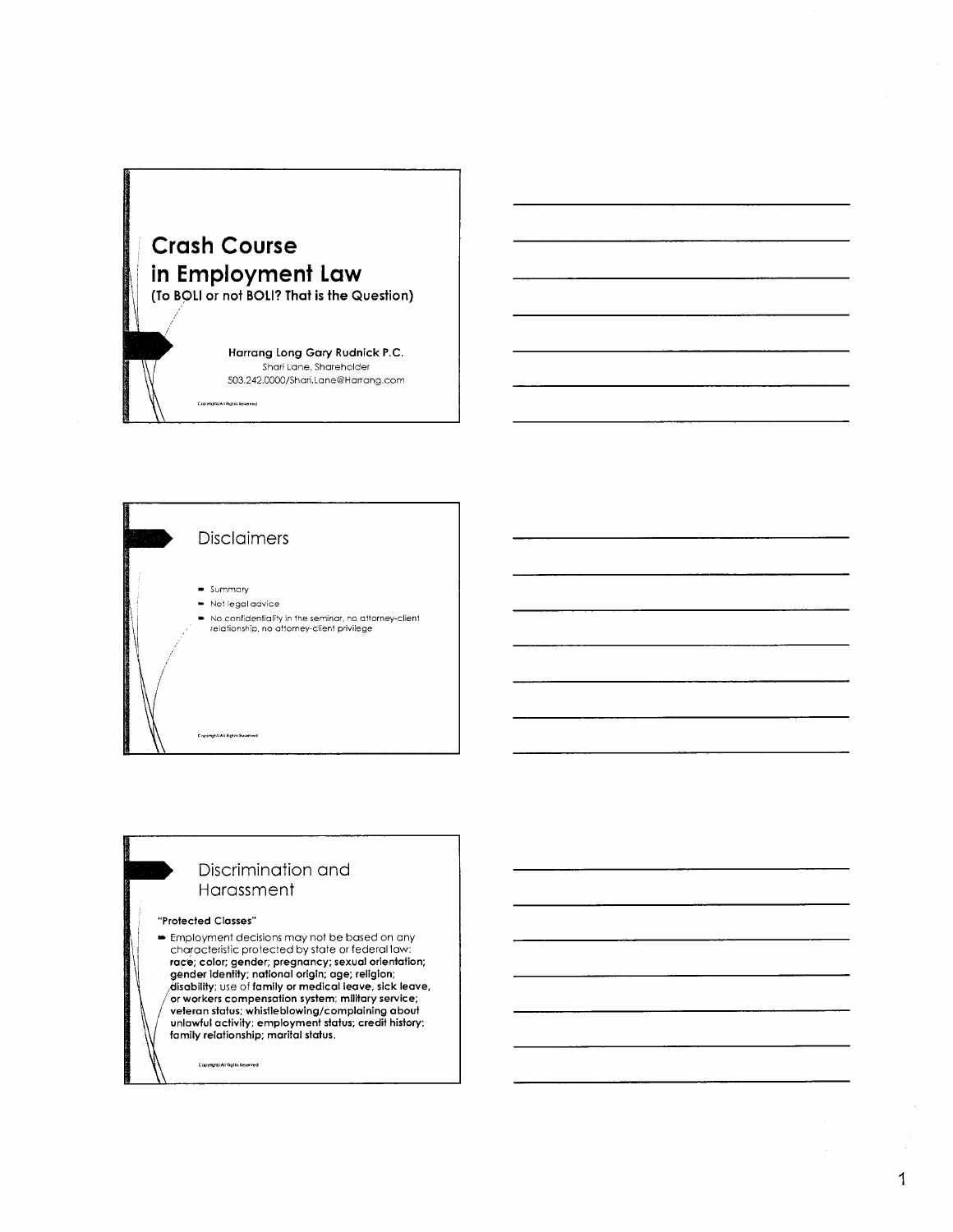

Сорунун/АН була йынчыс

Harrang Long Gary Rudnick P.C. Shari Lane, Shareholder 503.242.0000/Shari,Lane@Harrang.com



### Discrimination and Harassment

#### "Protected Classes"

Employment decisions may not be based on any characteristic protected by state or federal law: race; color; gender; pregnancy; sexual orientation; gender identity; national origin; age; religion; disability; use of family or medical leave, sick leave, or workers compensation system; military service; veteran status; whistleblowing/complaining about unlawful activity; employment status; credit history; family relationship; marital status.

Copyright/All fights Reserved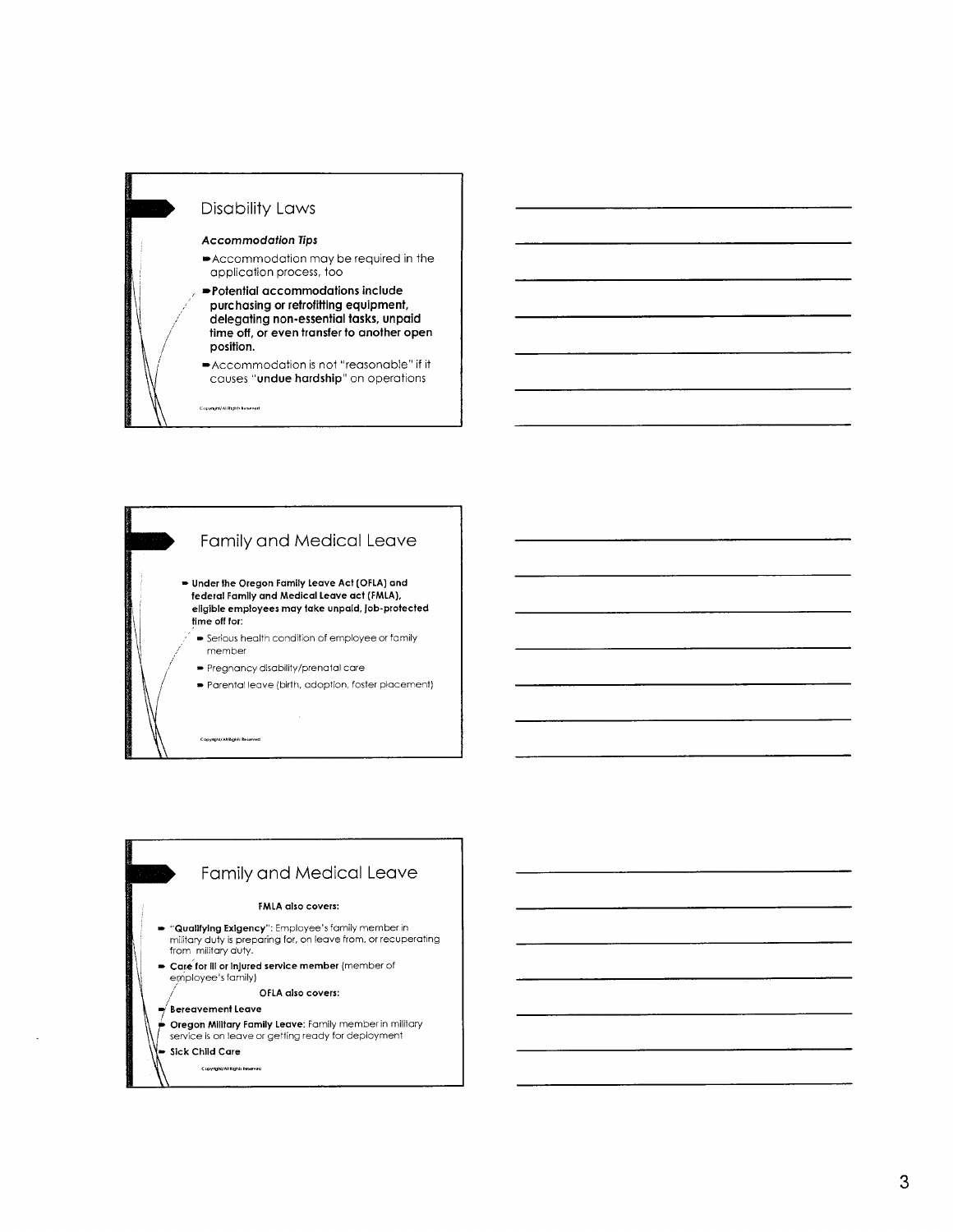



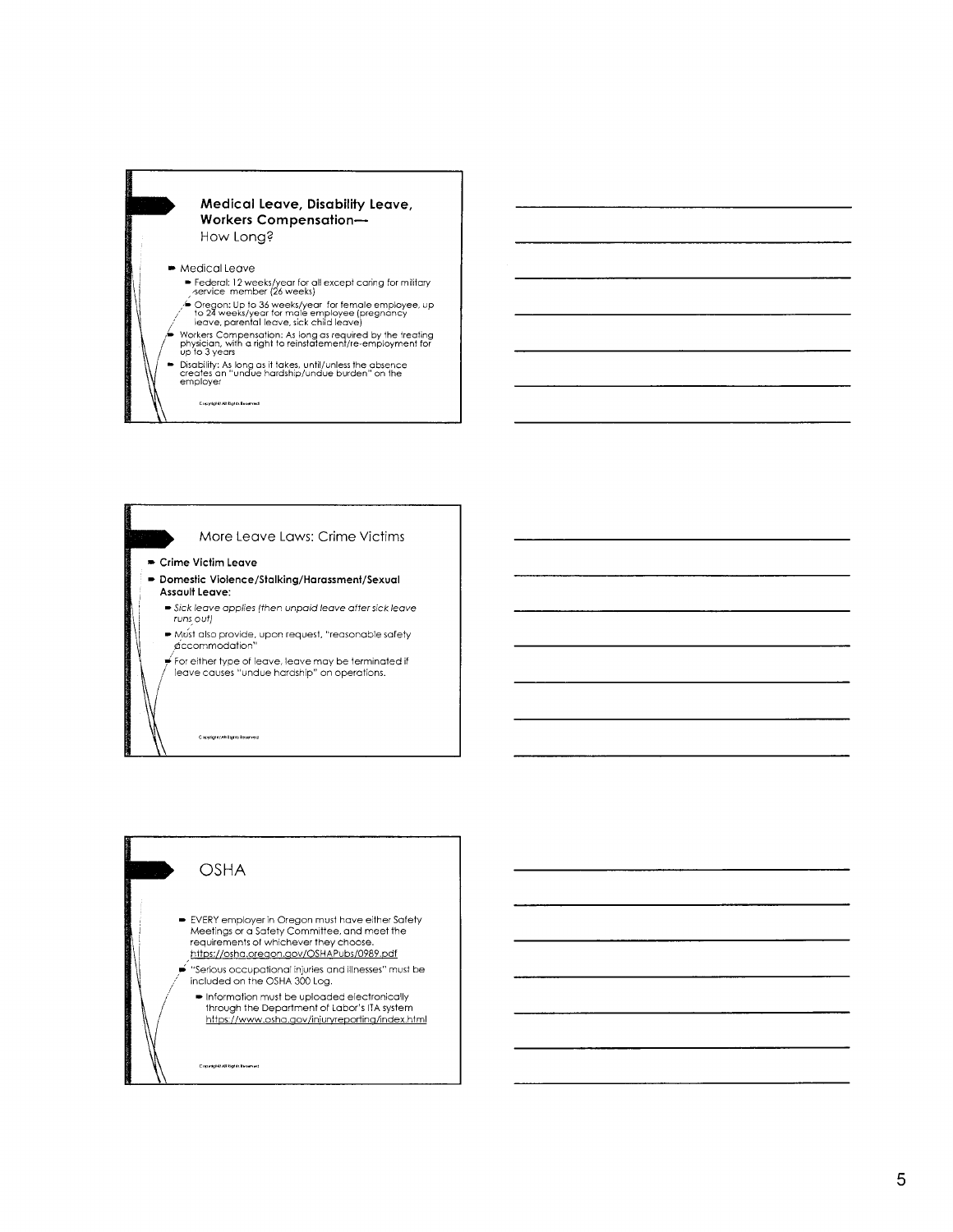### Medical Leave, Disability Leave, Workers Compensation-How Long?

#### • Medical Leave

.<br>Cispyrigilai/All Èighds Roseirved

- ► Federal: 12 weeks/year for all except caring for military<br>, service member (26 weeks)
- Oregon: Up to 36 weeks/year for female employee, up<br>to 24 weeks/year for male employee (pregnancy<br>leave, parental leave, sick child leave)
- Workers Compensation: As long as required by the treating<br>physician, with a right to reinstatement/re-employment for<br>up to 3 years
- ► Disability: As long as it takes, until/unless the absence<br>creates an "undue hardship/undue burden" on the<br>employer



# **OSHA**

Copyright/All Eights Reserved

- ► EVERY employer in Oregon must have either Safety<br>Meetings or a Safety Committee, and meet the<br>requirements of whichever they choose. https://osha.oregon.gov/OSHAPubs/0989.pdf
- "Serious occupational injuries and illnesses" must be included on the OSHA 300 Log.
	- Information must be uploaded electronically<br>through the Department of Labor's ITA system https://www.osha.gov/injuryreporting/index.html

Copyinghit/All highits keserved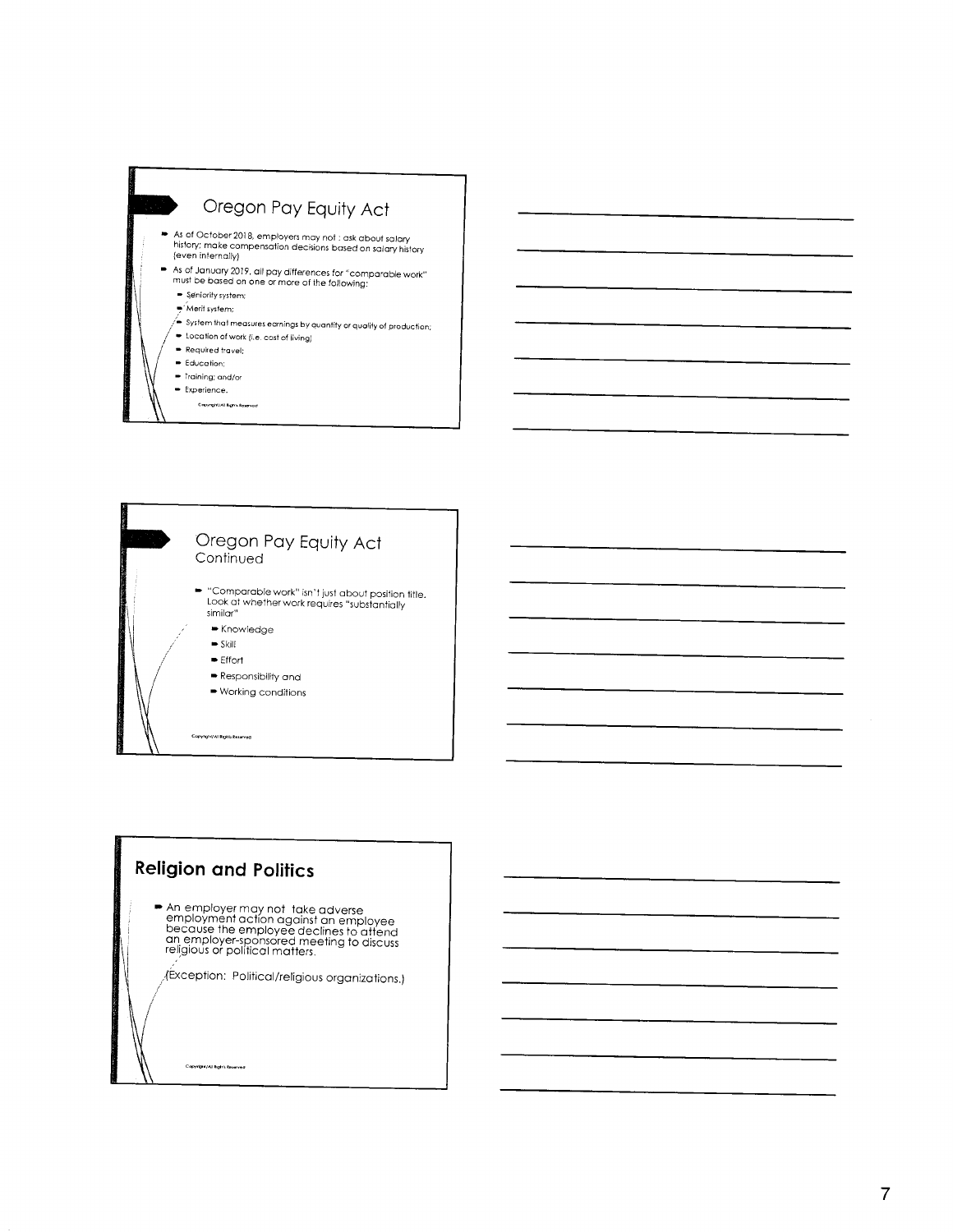



## **Religion and Politics**

• An employer may not take adverse<br>employment action against an employee<br>because the employee declines to attend<br>an employer-sponsored meeting to discuss<br>religious or political matters.

 $\sqrt{\text{ex}}$ ception: Political/religious organizations.)

Copyright/All Rights Reserved